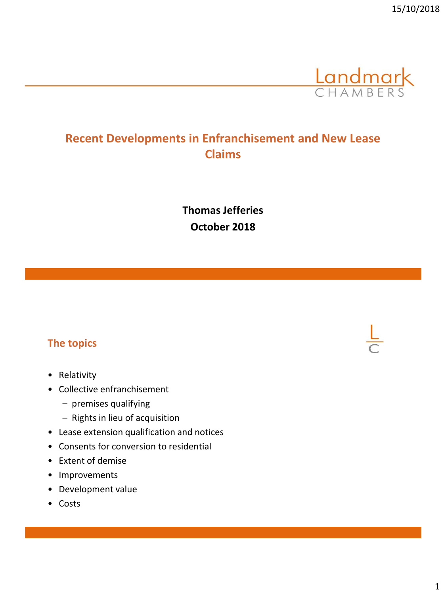

## **Recent Developments in Enfranchisement and New Lease Claims**

**Thomas Jefferies October 2018**

#### **The topics**

- Relativity
- Collective enfranchisement
	- premises qualifying
	- Rights in lieu of acquisition
- Lease extension qualification and notices
- Consents for conversion to residential
- Extent of demise
- Improvements
- Development value
- Costs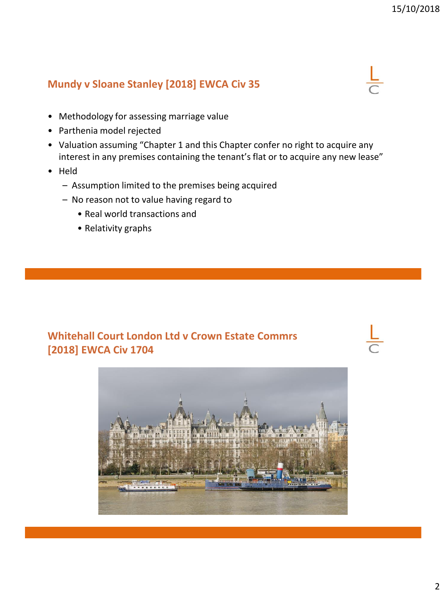## **Mundy v Sloane Stanley [2018] EWCA Civ 35**

- Methodology for assessing marriage value
- Parthenia model rejected
- Valuation assuming "Chapter 1 and this Chapter confer no right to acquire any interest in any premises containing the tenant's flat or to acquire any new lease"
- Held
	- Assumption limited to the premises being acquired
	- No reason not to value having regard to
		- Real world transactions and
		- Relativity graphs

#### **Whitehall Court London Ltd v Crown Estate Commrs [2018] EWCA Civ 1704**

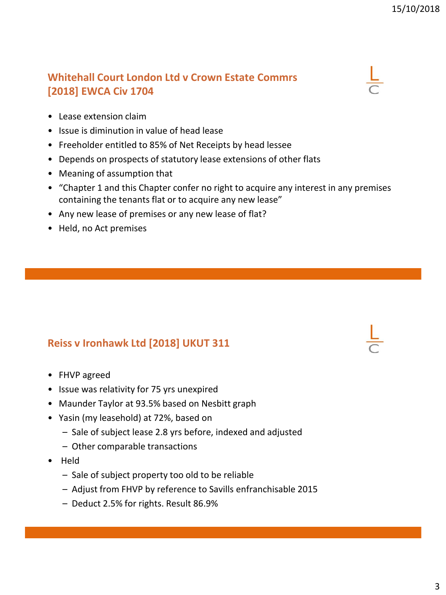## **Whitehall Court London Ltd v Crown Estate Commrs [2018] EWCA Civ 1704**

- Lease extension claim
- Issue is diminution in value of head lease
- Freeholder entitled to 85% of Net Receipts by head lessee
- Depends on prospects of statutory lease extensions of other flats
- Meaning of assumption that
- "Chapter 1 and this Chapter confer no right to acquire any interest in any premises containing the tenants flat or to acquire any new lease"
- Any new lease of premises or any new lease of flat?
- Held, no Act premises

## **Reiss v Ironhawk Ltd [2018] UKUT 311**

- FHVP agreed
- Issue was relativity for 75 yrs unexpired
- Maunder Taylor at 93.5% based on Nesbitt graph
- Yasin (my leasehold) at 72%, based on
	- Sale of subject lease 2.8 yrs before, indexed and adjusted
	- Other comparable transactions
- Held
	- Sale of subject property too old to be reliable
	- Adjust from FHVP by reference to Savills enfranchisable 2015
	- Deduct 2.5% for rights. Result 86.9%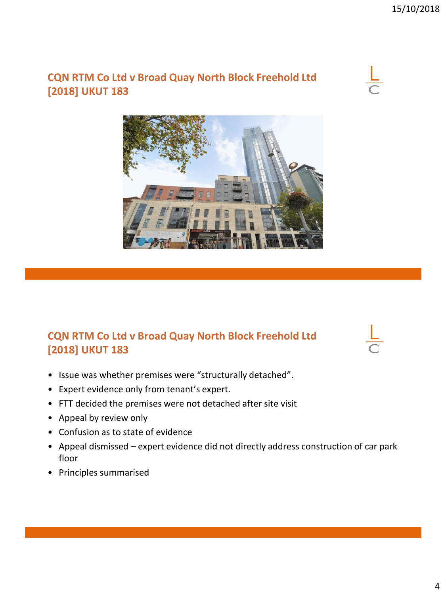## **CQN RTM Co Ltd v Broad Quay North Block Freehold Ltd [2018] UKUT 183**





## **CQN RTM Co Ltd v Broad Quay North Block Freehold Ltd [2018] UKUT 183**

• Issue was whether premises were "structurally detached".

- Expert evidence only from tenant's expert.
- FTT decided the premises were not detached after site visit
- Appeal by review only
- Confusion as to state of evidence
- Appeal dismissed expert evidence did not directly address construction of car park floor
- Principles summarised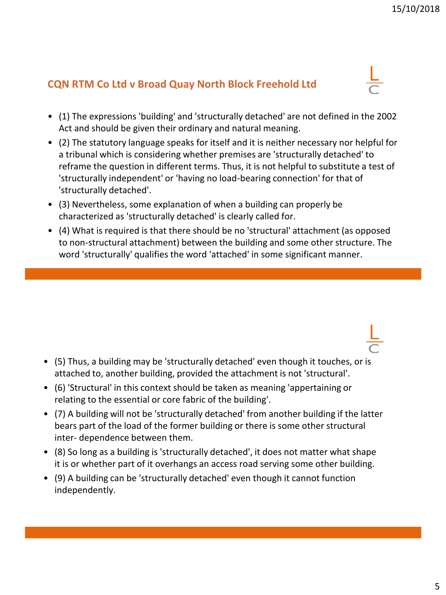## **CQN RTM Co Ltd v Broad Quay North Block Freehold Ltd**

- (1) The expressions 'building' and 'structurally detached' are not defined in the 2002 Act and should be given their ordinary and natural meaning.
- (2) The statutory language speaks for itself and it is neither necessary nor helpful for a tribunal which is considering whether premises are 'structurally detached' to reframe the question in different terms. Thus, it is not helpful to substitute a test of 'structurally independent' or 'having no load-bearing connection' for that of 'structurally detached'.
- (3) Nevertheless, some explanation of when a building can properly be characterized as 'structurally detached' is clearly called for.
- (4) What is required is that there should be no 'structural' attachment (as opposed to non-structural attachment) between the building and some other structure. The word 'structurally' qualifies the word 'attached' in some significant manner.

- (5) Thus, a building may be 'structurally detached' even though it touches, or is attached to, another building, provided the attachment is not 'structural'.
- (6) 'Structural' in this context should be taken as meaning 'appertaining or relating to the essential or core fabric of the building'.
- (7) A building will not be 'structurally detached' from another building if the latter bears part of the load of the former building or there is some other structural inter- dependence between them.
- (8) So long as a building is 'structurally detached', it does not matter what shape it is or whether part of it overhangs an access road serving some other building.
- (9) A building can be 'structurally detached' even though it cannot function independently.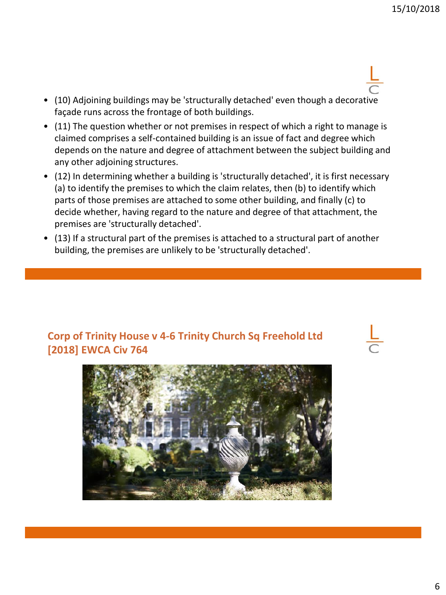- (10) Adjoining buildings may be 'structurally detached' even though a decorative façade runs across the frontage of both buildings.
- (11) The question whether or not premises in respect of which a right to manage is claimed comprises a self-contained building is an issue of fact and degree which depends on the nature and degree of attachment between the subject building and any other adjoining structures.
- (12) In determining whether a building is 'structurally detached', it is first necessary (a) to identify the premises to which the claim relates, then (b) to identify which parts of those premises are attached to some other building, and finally (c) to decide whether, having regard to the nature and degree of that attachment, the premises are 'structurally detached'.
- (13) If a structural part of the premises is attached to a structural part of another building, the premises are unlikely to be 'structurally detached'.

#### **Corp of Trinity House v 4-6 Trinity Church Sq Freehold Ltd [2018] EWCA Civ 764**

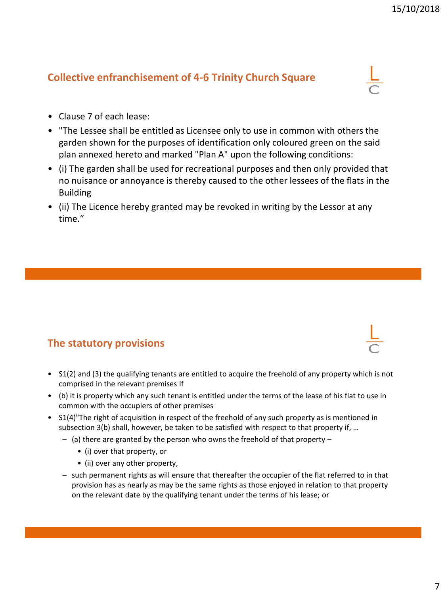#### **Collective enfranchisement of 4-6 Trinity Church Square**

- Clause 7 of each lease:
- "The Lessee shall be entitled as Licensee only to use in common with others the garden shown for the purposes of identification only coloured green on the said plan annexed hereto and marked "Plan A" upon the following conditions:
- (i) The garden shall be used for recreational purposes and then only provided that no nuisance or annoyance is thereby caused to the other lessees of the flats in the Building
- (ii) The Licence hereby granted may be revoked in writing by the Lessor at any time."

#### **The statutory provisions**

- S1(2) and (3) the qualifying tenants are entitled to acquire the freehold of any property which is not comprised in the relevant premises if
- (b) it is property which any such tenant is entitled under the terms of the lease of his flat to use in common with the occupiers of other premises
- S1(4)"The right of acquisition in respect of the freehold of any such property as is mentioned in subsection 3(b) shall, however, be taken to be satisfied with respect to that property if, ...
	- (a) there are granted by the person who owns the freehold of that property
		- (i) over that property, or
		- (ii) over any other property,
	- such permanent rights as will ensure that thereafter the occupier of the flat referred to in that provision has as nearly as may be the same rights as those enjoyed in relation to that property on the relevant date by the qualifying tenant under the terms of his lease; or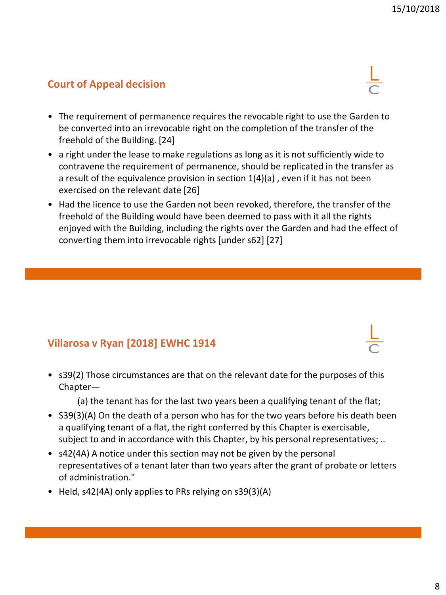## **Court of Appeal decision**

- The requirement of permanence requires the revocable right to use the Garden to be converted into an irrevocable right on the completion of the transfer of the freehold of the Building. [24]
- a right under the lease to make regulations as long as it is not sufficiently wide to contravene the requirement of permanence, should be replicated in the transfer as a result of the equivalence provision in section 1(4)(a) , even if it has not been exercised on the relevant date [26]
- Had the licence to use the Garden not been revoked, therefore, the transfer of the freehold of the Building would have been deemed to pass with it all the rights enjoyed with the Building, including the rights over the Garden and had the effect of converting them into irrevocable rights [under s62] [27]

## **Villarosa v Ryan [2018] EWHC 1914**

• s39(2) Those circumstances are that on the relevant date for the purposes of this Chapter—

(a) the tenant has for the last two years been a qualifying tenant of the flat;

- S39(3)(A) On the death of a person who has for the two years before his death been a qualifying tenant of a flat, the right conferred by this Chapter is exercisable, subject to and in accordance with this Chapter, by his personal representatives; ..
- s42(4A) A notice under this section may not be given by the personal representatives of a tenant later than two years after the grant of probate or letters of administration."
- Held, s42(4A) only applies to PRs relying on s39(3)(A)



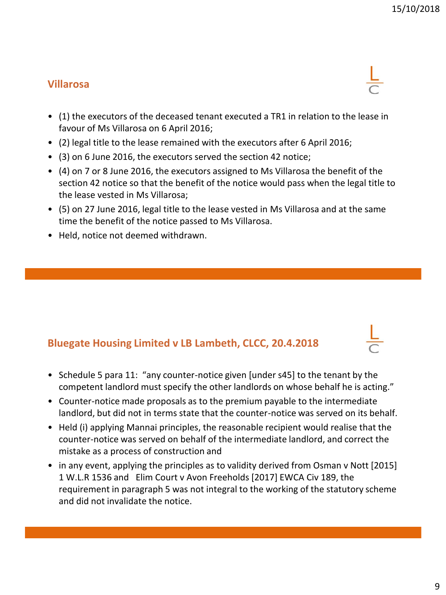## **Villarosa**

- (1) the executors of the deceased tenant executed a TR1 in relation to the lease in favour of Ms Villarosa on 6 April 2016;
- (2) legal title to the lease remained with the executors after 6 April 2016;
- (3) on 6 June 2016, the executors served the section 42 notice;
- (4) on 7 or 8 June 2016, the executors assigned to Ms Villarosa the benefit of the section 42 notice so that the benefit of the notice would pass when the legal title to the lease vested in Ms Villarosa;
- (5) on 27 June 2016, legal title to the lease vested in Ms Villarosa and at the same time the benefit of the notice passed to Ms Villarosa.
- Held, notice not deemed withdrawn.

#### **Bluegate Housing Limited v LB Lambeth, CLCC, 20.4.2018**

- Schedule 5 para 11: "any counter-notice given [under s45] to the tenant by the competent landlord must specify the other landlords on whose behalf he is acting."
- Counter-notice made proposals as to the premium payable to the intermediate landlord, but did not in terms state that the counter-notice was served on its behalf.
- Held (i) applying Mannai principles, the reasonable recipient would realise that the counter-notice was served on behalf of the intermediate landlord, and correct the mistake as a process of construction and
- in any event, applying the principles as to validity derived from Osman v Nott [2015] 1 W.L.R 1536 and Elim Court v Avon Freeholds [2017] EWCA Civ 189, the requirement in paragraph 5 was not integral to the working of the statutory scheme and did not invalidate the notice.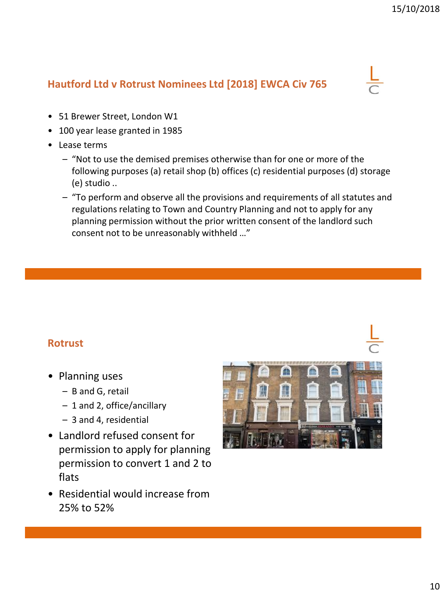## **Hautford Ltd v Rotrust Nominees Ltd [2018] EWCA Civ 765**



- 51 Brewer Street, London W1
- 100 year lease granted in 1985
- Lease terms
	- "Not to use the demised premises otherwise than for one or more of the following purposes (a) retail shop (b) offices (c) residential purposes (d) storage (e) studio ..
	- "To perform and observe all the provisions and requirements of all statutes and regulations relating to Town and Country Planning and not to apply for any planning permission without the prior written consent of the landlord such consent not to be unreasonably withheld …"

#### **Rotrust**

- Planning uses
	- B and G, retail
	- 1 and 2, office/ancillary
	- 3 and 4, residential
- Landlord refused consent for permission to apply for planning permission to convert 1 and 2 to flats
- Residential would increase from 25% to 52%

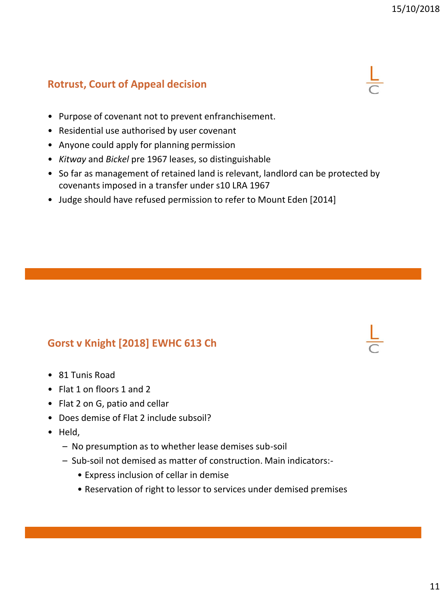## **Rotrust, Court of Appeal decision**

- Purpose of covenant not to prevent enfranchisement.
- Residential use authorised by user covenant
- Anyone could apply for planning permission
- *Kitway* and *Bickel* pre 1967 leases, so distinguishable
- So far as management of retained land is relevant, landlord can be protected by covenants imposed in a transfer under s10 LRA 1967
- Judge should have refused permission to refer to Mount Eden [2014]

#### **Gorst v Knight [2018] EWHC 613 Ch**

- 81 Tunis Road
- Flat 1 on floors 1 and 2
- Flat 2 on G, patio and cellar
- Does demise of Flat 2 include subsoil?
- Held,
	- No presumption as to whether lease demises sub-soil
	- Sub-soil not demised as matter of construction. Main indicators:-
		- Express inclusion of cellar in demise
		- Reservation of right to lessor to services under demised premises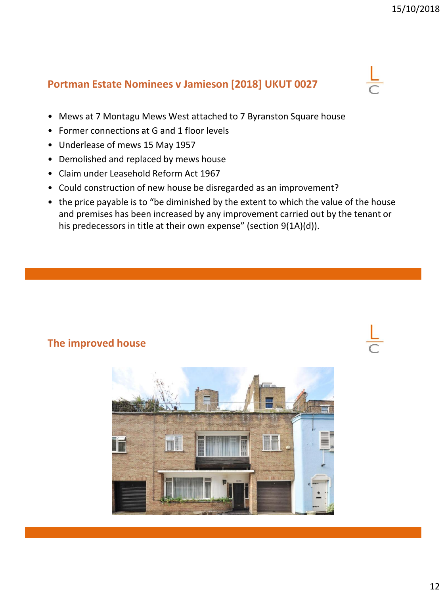#### **Portman Estate Nominees v Jamieson [2018] UKUT 0027**

- Mews at 7 Montagu Mews West attached to 7 Byranston Square house
- Former connections at G and 1 floor levels
- Underlease of mews 15 May 1957
- Demolished and replaced by mews house
- Claim under Leasehold Reform Act 1967
- Could construction of new house be disregarded as an improvement?
- the price payable is to "be diminished by the extent to which the value of the house and premises has been increased by any improvement carried out by the tenant or his predecessors in title at their own expense" (section 9(1A)(d)).

#### **The improved house**

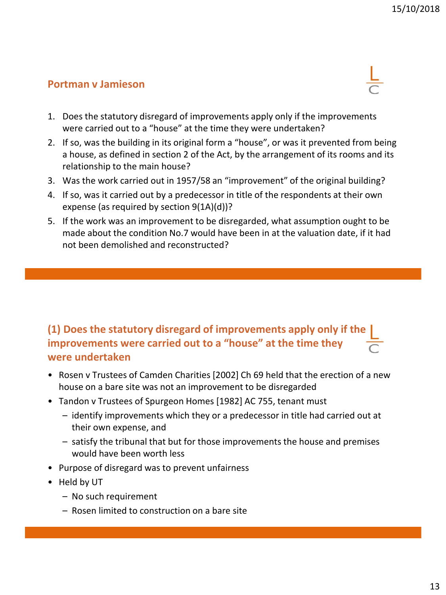#### **Portman v Jamieson**



- 1. Does the statutory disregard of improvements apply only if the improvements were carried out to a "house" at the time they were undertaken?
- 2. If so, was the building in its original form a "house", or was it prevented from being a house, as defined in section 2 of the Act, by the arrangement of its rooms and its relationship to the main house?
- 3. Was the work carried out in 1957/58 an "improvement" of the original building?
- 4. If so, was it carried out by a predecessor in title of the respondents at their own expense (as required by section 9(1A)(d))?
- 5. If the work was an improvement to be disregarded, what assumption ought to be made about the condition No.7 would have been in at the valuation date, if it had not been demolished and reconstructed?

## **(1) Does the statutory disregard of improvements apply only if the improvements were carried out to a "house" at the time they were undertaken**

- Rosen v Trustees of Camden Charities [2002] Ch 69 held that the erection of a new house on a bare site was not an improvement to be disregarded
- Tandon v Trustees of Spurgeon Homes [1982] AC 755, tenant must
	- identify improvements which they or a predecessor in title had carried out at their own expense, and
	- satisfy the tribunal that but for those improvements the house and premises would have been worth less
- Purpose of disregard was to prevent unfairness
- Held by UT
	- No such requirement
	- Rosen limited to construction on a bare site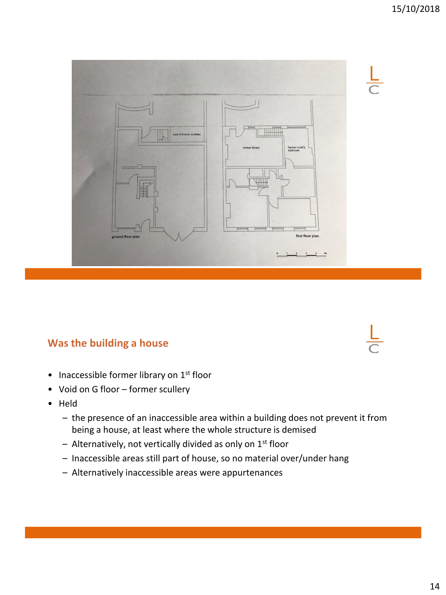

#### **Was the building a house**

- Inaccessible former library on 1<sup>st</sup> floor
- Void on G floor former scullery
- Held
	- the presence of an inaccessible area within a building does not prevent it from being a house, at least where the whole structure is demised
	- $-$  Alternatively, not vertically divided as only on 1st floor
	- Inaccessible areas still part of house, so no material over/under hang
	- Alternatively inaccessible areas were appurtenances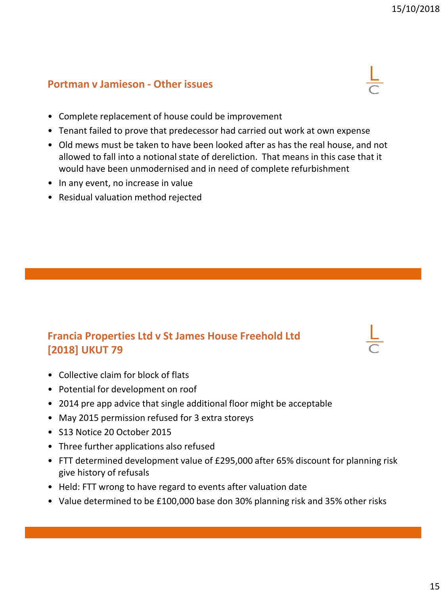#### **Portman v Jamieson - Other issues**



- Complete replacement of house could be improvement
- Tenant failed to prove that predecessor had carried out work at own expense
- Old mews must be taken to have been looked after as has the real house, and not allowed to fall into a notional state of dereliction. That means in this case that it would have been unmodernised and in need of complete refurbishment
- In any event, no increase in value
- Residual valuation method rejected

## **Francia Properties Ltd v St James House Freehold Ltd [2018] UKUT 79**

- Collective claim for block of flats
- Potential for development on roof
- 2014 pre app advice that single additional floor might be acceptable
- May 2015 permission refused for 3 extra storeys
- S13 Notice 20 October 2015
- Three further applications also refused
- FTT determined development value of £295,000 after 65% discount for planning risk give history of refusals
- Held: FTT wrong to have regard to events after valuation date
- Value determined to be £100,000 base don 30% planning risk and 35% other risks